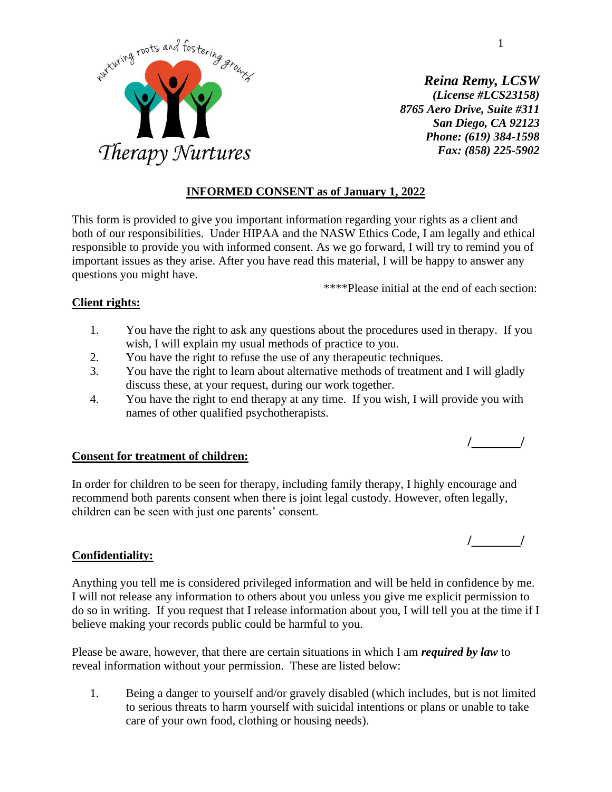

*Reina Remy, LCSW (License #LCS23158) 8765 Aero Drive, Suite #311 San Diego, CA 92123 Phone: (619) 384-1598 Fax: (858) 225-5902*

# **INFORMED CONSENT as of January 1, 2022**

This form is provided to give you important information regarding your rights as a client and both of our responsibilities. Under HIPAA and the NASW Ethics Code, I am legally and ethical responsible to provide you with informed consent. As we go forward, I will try to remind you of important issues as they arise. After you have read this material, I will be happy to answer any questions you might have.

\*\*\*\*Please initial at the end of each section:

## **Client rights:**

- 1. You have the right to ask any questions about the procedures used in therapy. If you wish, I will explain my usual methods of practice to you.
- 2. You have the right to refuse the use of any therapeutic techniques.
- 3. You have the right to learn about alternative methods of treatment and I will gladly discuss these, at your request, during our work together.
- 4. You have the right to end therapy at any time. If you wish, I will provide you with names of other qualified psychotherapists.

## **Consent for treatment of children:**

In order for children to be seen for therapy, including family therapy, I highly encourage and recommend both parents consent when there is joint legal custody. However, often legally, children can be seen with just one parents' consent.

## **Confidentiality:**

Anything you tell me is considered privileged information and will be held in confidence by me. I will not release any information to others about you unless you give me explicit permission to do so in writing. If you request that I release information about you, I will tell you at the time if I believe making your records public could be harmful to you.

Please be aware, however, that there are certain situations in which I am *required by law* to reveal information without your permission. These are listed below:

1. Being a danger to yourself and/or gravely disabled (which includes, but is not limited to serious threats to harm yourself with suicidal intentions or plans or unable to take care of your own food, clothing or housing needs).

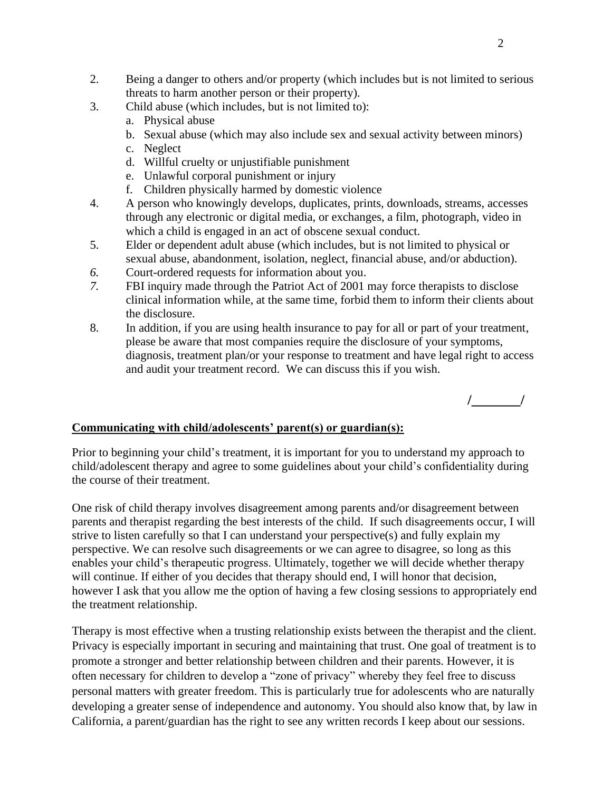- 2. Being a danger to others and/or property (which includes but is not limited to serious threats to harm another person or their property).
- 3. Child abuse (which includes, but is not limited to):
	- a. Physical abuse
	- b. Sexual abuse (which may also include sex and sexual activity between minors)
	- c. Neglect
	- d. Willful cruelty or unjustifiable punishment
	- e. Unlawful corporal punishment or injury
	- f. Children physically harmed by domestic violence
- 4. A person who knowingly develops, duplicates, prints, downloads, streams, accesses through any electronic or digital media, or exchanges, a film, photograph, video in which a child is engaged in an act of obscene sexual conduct.
- 5. Elder or dependent adult abuse (which includes, but is not limited to physical or sexual abuse, abandonment, isolation, neglect, financial abuse, and/or abduction).
- *6.* Court-ordered requests for information about you.
- *7.* FBI inquiry made through the Patriot Act of 2001 may force therapists to disclose clinical information while, at the same time, forbid them to inform their clients about the disclosure.
- 8. In addition, if you are using health insurance to pay for all or part of your treatment, please be aware that most companies require the disclosure of your symptoms, diagnosis, treatment plan/or your response to treatment and have legal right to access and audit your treatment record. We can discuss this if you wish.



# **Communicating with child/adolescents' parent(s) or guardian(s):**

Prior to beginning your child's treatment, it is important for you to understand my approach to child/adolescent therapy and agree to some guidelines about your child's confidentiality during the course of their treatment.

One risk of child therapy involves disagreement among parents and/or disagreement between parents and therapist regarding the best interests of the child. If such disagreements occur, I will strive to listen carefully so that I can understand your perspective(s) and fully explain my perspective. We can resolve such disagreements or we can agree to disagree, so long as this enables your child's therapeutic progress. Ultimately, together we will decide whether therapy will continue. If either of you decides that therapy should end, I will honor that decision, however I ask that you allow me the option of having a few closing sessions to appropriately end the treatment relationship.

Therapy is most effective when a trusting relationship exists between the therapist and the client. Privacy is especially important in securing and maintaining that trust. One goal of treatment is to promote a stronger and better relationship between children and their parents. However, it is often necessary for children to develop a "zone of privacy" whereby they feel free to discuss personal matters with greater freedom. This is particularly true for adolescents who are naturally developing a greater sense of independence and autonomy. You should also know that, by law in California, a parent/guardian has the right to see any written records I keep about our sessions.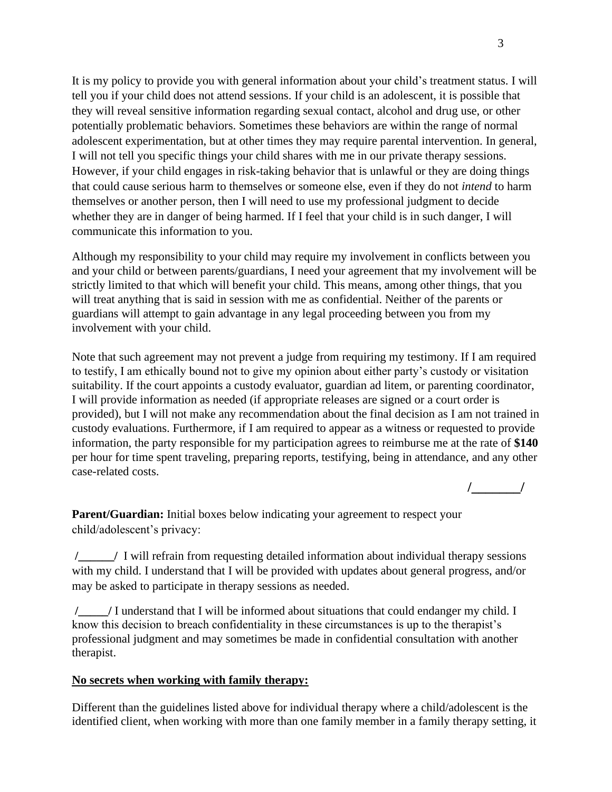It is my policy to provide you with general information about your child's treatment status. I will tell you if your child does not attend sessions. If your child is an adolescent, it is possible that they will reveal sensitive information regarding sexual contact, alcohol and drug use, or other potentially problematic behaviors. Sometimes these behaviors are within the range of normal adolescent experimentation, but at other times they may require parental intervention. In general, I will not tell you specific things your child shares with me in our private therapy sessions. However, if your child engages in risk-taking behavior that is unlawful or they are doing things that could cause serious harm to themselves or someone else, even if they do not *intend* to harm themselves or another person, then I will need to use my professional judgment to decide whether they are in danger of being harmed. If I feel that your child is in such danger, I will communicate this information to you.

Although my responsibility to your child may require my involvement in conflicts between you and your child or between parents/guardians, I need your agreement that my involvement will be strictly limited to that which will benefit your child. This means, among other things, that you will treat anything that is said in session with me as confidential. Neither of the parents or guardians will attempt to gain advantage in any legal proceeding between you from my involvement with your child.

Note that such agreement may not prevent a judge from requiring my testimony. If I am required to testify, I am ethically bound not to give my opinion about either party's custody or visitation suitability. If the court appoints a custody evaluator, guardian ad litem, or parenting coordinator, I will provide information as needed (if appropriate releases are signed or a court order is provided), but I will not make any recommendation about the final decision as I am not trained in custody evaluations. Furthermore, if I am required to appear as a witness or requested to provide information, the party responsible for my participation agrees to reimburse me at the rate of **\$140** per hour for time spent traveling, preparing reports, testifying, being in attendance, and any other case-related costs.

**/\_\_\_\_\_\_\_/**

**Parent/Guardian:** Initial boxes below indicating your agreement to respect your child/adolescent's privacy:

**/\_\_\_\_\_\_/** I will refrain from requesting detailed information about individual therapy sessions with my child. I understand that I will be provided with updates about general progress, and/or may be asked to participate in therapy sessions as needed.

**/\_\_\_\_\_/** I understand that I will be informed about situations that could endanger my child. I know this decision to breach confidentiality in these circumstances is up to the therapist's professional judgment and may sometimes be made in confidential consultation with another therapist.

## **No secrets when working with family therapy:**

Different than the guidelines listed above for individual therapy where a child/adolescent is the identified client, when working with more than one family member in a family therapy setting, it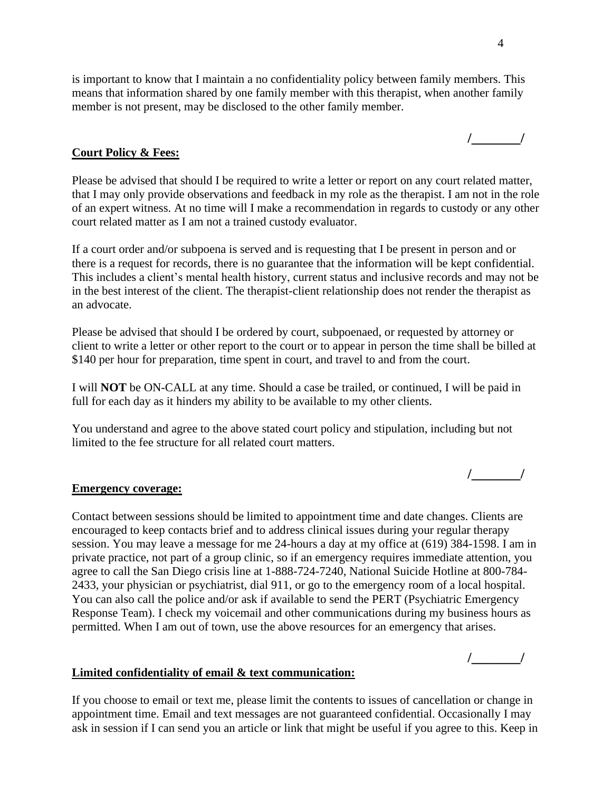is important to know that I maintain a no confidentiality policy between family members. This means that information shared by one family member with this therapist, when another family member is not present, may be disclosed to the other family member.

#### **Court Policy & Fees:**

Please be advised that should I be required to write a letter or report on any court related matter, that I may only provide observations and feedback in my role as the therapist. I am not in the role of an expert witness. At no time will I make a recommendation in regards to custody or any other court related matter as I am not a trained custody evaluator.

If a court order and/or subpoena is served and is requesting that I be present in person and or there is a request for records, there is no guarantee that the information will be kept confidential. This includes a client's mental health history, current status and inclusive records and may not be in the best interest of the client. The therapist-client relationship does not render the therapist as an advocate.

Please be advised that should I be ordered by court, subpoenaed, or requested by attorney or client to write a letter or other report to the court or to appear in person the time shall be billed at \$140 per hour for preparation, time spent in court, and travel to and from the court.

I will **NOT** be ON-CALL at any time. Should a case be trailed, or continued, I will be paid in full for each day as it hinders my ability to be available to my other clients.

You understand and agree to the above stated court policy and stipulation, including but not limited to the fee structure for all related court matters.

#### **Emergency coverage:**

Contact between sessions should be limited to appointment time and date changes. Clients are encouraged to keep contacts brief and to address clinical issues during your regular therapy session. You may leave a message for me 24-hours a day at my office at (619) 384-1598. I am in private practice, not part of a group clinic, so if an emergency requires immediate attention, you agree to call the San Diego crisis line at 1-888-724-7240, National Suicide Hotline at 800-784- 2433, your physician or psychiatrist, dial 911, or go to the emergency room of a local hospital. You can also call the police and/or ask if available to send the PERT (Psychiatric Emergency Response Team). I check my voicemail and other communications during my business hours as permitted. When I am out of town, use the above resources for an emergency that arises.

**/\_\_\_\_\_\_\_/**

**/\_\_\_\_\_\_\_/**

#### **Limited confidentiality of email & text communication:**

If you choose to email or text me, please limit the contents to issues of cancellation or change in appointment time. Email and text messages are not guaranteed confidential. Occasionally I may ask in session if I can send you an article or link that might be useful if you agree to this. Keep in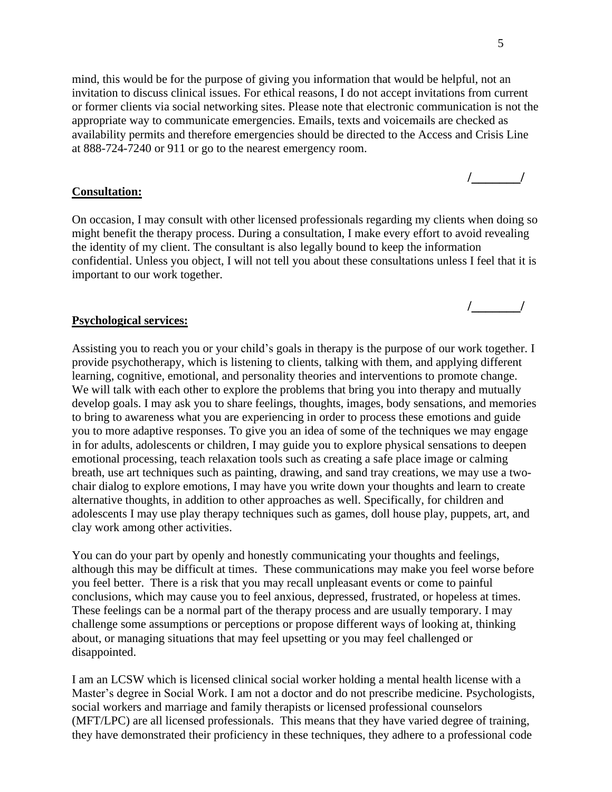mind, this would be for the purpose of giving you information that would be helpful, not an invitation to discuss clinical issues. For ethical reasons, I do not accept invitations from current or former clients via social networking sites. Please note that electronic communication is not the appropriate way to communicate emergencies. Emails, texts and voicemails are checked as availability permits and therefore emergencies should be directed to the Access and Crisis Line at 888-724-7240 or 911 or go to the nearest emergency room.

#### **Consultation:**

On occasion, I may consult with other licensed professionals regarding my clients when doing so might benefit the therapy process. During a consultation, I make every effort to avoid revealing the identity of my client. The consultant is also legally bound to keep the information confidential. Unless you object, I will not tell you about these consultations unless I feel that it is important to our work together.

#### **Psychological services:**

Assisting you to reach you or your child's goals in therapy is the purpose of our work together. I provide psychotherapy, which is listening to clients, talking with them, and applying different learning, cognitive, emotional, and personality theories and interventions to promote change. We will talk with each other to explore the problems that bring you into therapy and mutually develop goals. I may ask you to share feelings, thoughts, images, body sensations, and memories to bring to awareness what you are experiencing in order to process these emotions and guide you to more adaptive responses. To give you an idea of some of the techniques we may engage in for adults, adolescents or children, I may guide you to explore physical sensations to deepen emotional processing, teach relaxation tools such as creating a safe place image or calming breath, use art techniques such as painting, drawing, and sand tray creations, we may use a twochair dialog to explore emotions, I may have you write down your thoughts and learn to create alternative thoughts, in addition to other approaches as well. Specifically, for children and adolescents I may use play therapy techniques such as games, doll house play, puppets, art, and clay work among other activities.

You can do your part by openly and honestly communicating your thoughts and feelings, although this may be difficult at times. These communications may make you feel worse before you feel better. There is a risk that you may recall unpleasant events or come to painful conclusions, which may cause you to feel anxious, depressed, frustrated, or hopeless at times. These feelings can be a normal part of the therapy process and are usually temporary. I may challenge some assumptions or perceptions or propose different ways of looking at, thinking about, or managing situations that may feel upsetting or you may feel challenged or disappointed.

I am an LCSW which is licensed clinical social worker holding a mental health license with a Master's degree in Social Work. I am not a doctor and do not prescribe medicine. Psychologists, social workers and marriage and family therapists or licensed professional counselors (MFT/LPC) are all licensed professionals. This means that they have varied degree of training, they have demonstrated their proficiency in these techniques, they adhere to a professional code

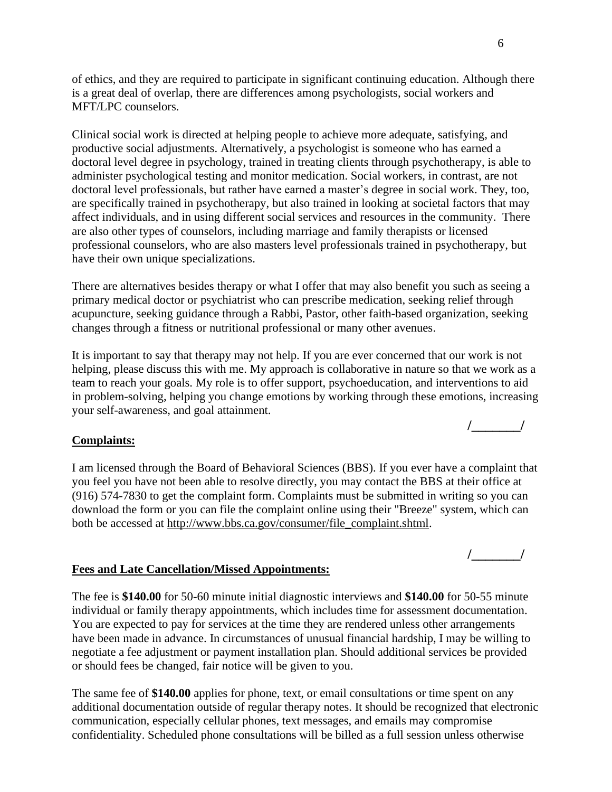of ethics, and they are required to participate in significant continuing education. Although there is a great deal of overlap, there are differences among psychologists, social workers and MFT/LPC counselors.

Clinical social work is directed at helping people to achieve more adequate, satisfying, and productive social adjustments. Alternatively, a psychologist is someone who has earned a doctoral level degree in psychology, trained in treating clients through psychotherapy, is able to administer psychological testing and monitor medication. Social workers, in contrast, are not doctoral level professionals, but rather have earned a master's degree in social work. They, too, are specifically trained in psychotherapy, but also trained in looking at societal factors that may affect individuals, and in using different social services and resources in the community. There are also other types of counselors, including marriage and family therapists or licensed professional counselors, who are also masters level professionals trained in psychotherapy, but have their own unique specializations.

There are alternatives besides therapy or what I offer that may also benefit you such as seeing a primary medical doctor or psychiatrist who can prescribe medication, seeking relief through acupuncture, seeking guidance through a Rabbi, Pastor, other faith-based organization, seeking changes through a fitness or nutritional professional or many other avenues.

It is important to say that therapy may not help. If you are ever concerned that our work is not helping, please discuss this with me. My approach is collaborative in nature so that we work as a team to reach your goals. My role is to offer support, psychoeducation, and interventions to aid in problem-solving, helping you change emotions by working through these emotions, increasing your self-awareness, and goal attainment.

## **Complaints:**

I am licensed through the Board of Behavioral Sciences (BBS). If you ever have a complaint that you feel you have not been able to resolve directly, you may contact the BBS at their office at (916) 574-7830 to get the complaint form. Complaints must be submitted in writing so you can download the form or you can file the complaint online using their "Breeze" system, which can both be accessed at [http://www.bbs.ca.gov/consumer/file\\_complaint.shtml.](http://www.bbs.ca.gov/consumer/file_complaint.shtml)

# **Fees and Late Cancellation/Missed Appointments:**

The fee is **\$140.00** for 50-60 minute initial diagnostic interviews and **\$140.00** for 50-55 minute individual or family therapy appointments, which includes time for assessment documentation. You are expected to pay for services at the time they are rendered unless other arrangements have been made in advance. In circumstances of unusual financial hardship, I may be willing to negotiate a fee adjustment or payment installation plan. Should additional services be provided or should fees be changed, fair notice will be given to you.

The same fee of **\$140.00** applies for phone, text, or email consultations or time spent on any additional documentation outside of regular therapy notes. It should be recognized that electronic communication, especially cellular phones, text messages, and emails may compromise confidentiality. Scheduled phone consultations will be billed as a full session unless otherwise

**/\_\_\_\_\_\_\_/**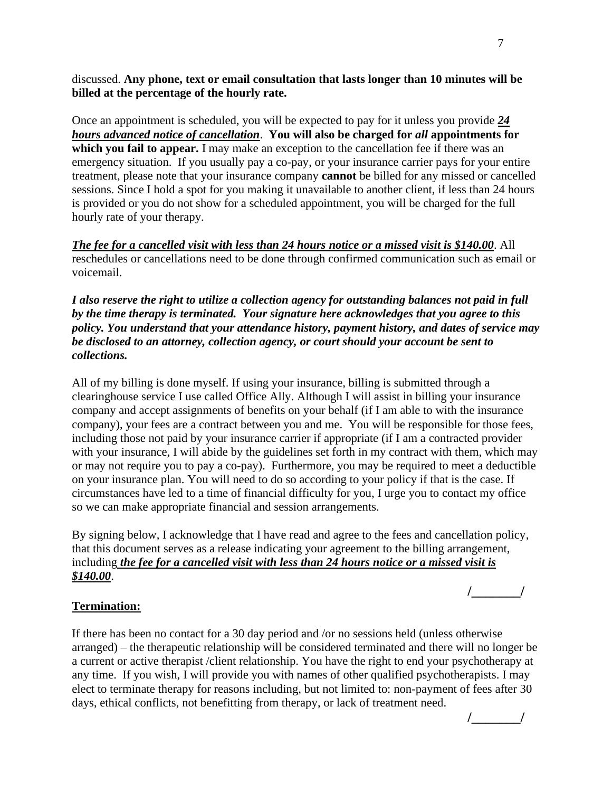discussed. **Any phone, text or email consultation that lasts longer than 10 minutes will be billed at the percentage of the hourly rate.** 

Once an appointment is scheduled, you will be expected to pay for it unless you provide *24 hours advanced notice of cancellation*. **You will also be charged for** *all* **appointments for which you fail to appear.** I may make an exception to the cancellation fee if there was an emergency situation. If you usually pay a co-pay, or your insurance carrier pays for your entire treatment, please note that your insurance company **cannot** be billed for any missed or cancelled sessions. Since I hold a spot for you making it unavailable to another client, if less than 24 hours is provided or you do not show for a scheduled appointment, you will be charged for the full hourly rate of your therapy.

*The fee for a cancelled visit with less than 24 hours notice or a missed visit is \$140.00*. All reschedules or cancellations need to be done through confirmed communication such as email or voicemail.

*I also reserve the right to utilize a collection agency for outstanding balances not paid in full by the time therapy is terminated. Your signature here acknowledges that you agree to this policy. You understand that your attendance history, payment history, and dates of service may be disclosed to an attorney, collection agency, or court should your account be sent to collections.*

All of my billing is done myself. If using your insurance, billing is submitted through a clearinghouse service I use called Office Ally. Although I will assist in billing your insurance company and accept assignments of benefits on your behalf (if I am able to with the insurance company), your fees are a contract between you and me. You will be responsible for those fees, including those not paid by your insurance carrier if appropriate (if I am a contracted provider with your insurance, I will abide by the guidelines set forth in my contract with them, which may or may not require you to pay a co-pay). Furthermore, you may be required to meet a deductible on your insurance plan. You will need to do so according to your policy if that is the case. If circumstances have led to a time of financial difficulty for you, I urge you to contact my office so we can make appropriate financial and session arrangements.

By signing below, I acknowledge that I have read and agree to the fees and cancellation policy, that this document serves as a release indicating your agreement to the billing arrangement, including *the fee for a cancelled visit with less than 24 hours notice or a missed visit is \$140.00*.

# **/\_\_\_\_\_\_\_/**

# **Termination:**

If there has been no contact for a 30 day period and /or no sessions held (unless otherwise arranged) – the therapeutic relationship will be considered terminated and there will no longer be a current or active therapist /client relationship. You have the right to end your psychotherapy at any time. If you wish, I will provide you with names of other qualified psychotherapists. I may elect to terminate therapy for reasons including, but not limited to: non-payment of fees after 30 days, ethical conflicts, not benefitting from therapy, or lack of treatment need.